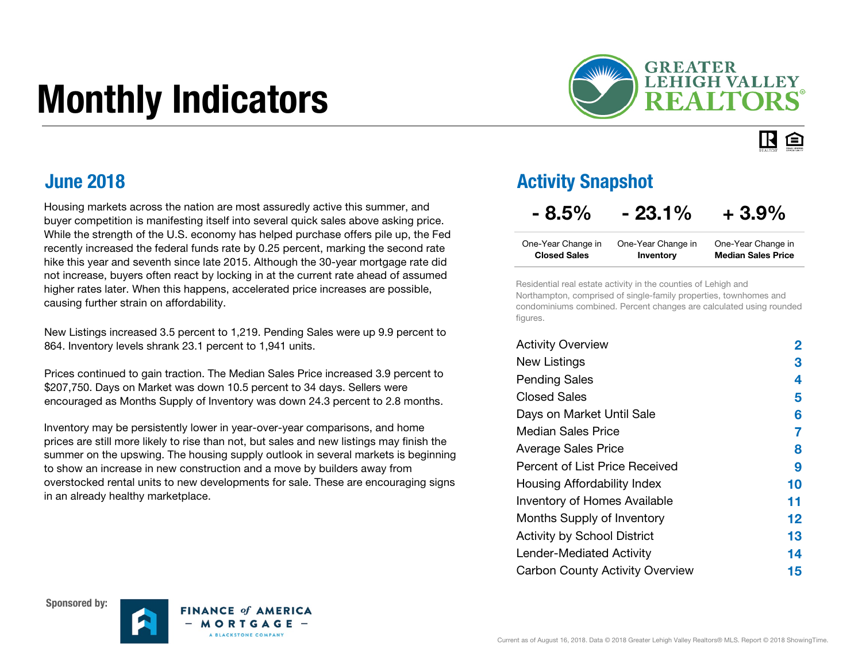# Monthly Indicators



#### IR. 臼

Housing markets across the nation are most assuredly active this summer, and buyer competition is manifesting itself into several quick sales above asking price. While the strength of the U.S. economy has helped purchase offers pile up, the Fed recently increased the federal funds rate by 0.25 percent, marking the second rate hike this year and seventh since late 2015. Although the 30-year mortgage rate did not increase, buyers often react by locking in at the current rate ahead of assumed higher rates later. When this happens, accelerated price increases are possible, causing further strain on affordability.

New Listings increased 3.5 percent to 1,219. Pending Sales were up 9.9 percent to 864. Inventory levels shrank 23.1 percent to 1,941 units.

Prices continued to gain traction. The Median Sales Price increased 3.9 percent to \$207,750. Days on Market was down 10.5 percent to 34 days. Sellers were encouraged as Months Supply of Inventory was down 24.3 percent to 2.8 months.

Inventory may be persistently lower in year-over-year comparisons, and home prices are still more likely to rise than not, but sales and new listings may finish the summer on the upswing. The housing supply outlook in several markets is beginning to show an increase in new construction and a move by builders away from overstocked rental units to new developments for sale. These are encouraging signs in an already healthy marketplace.

#### **June 2018 Activity Snapshot Activity Snapshot**

#### $-8.5\%$   $-23.1\%$   $+3.9\%$

| One-Year Change in  | One-Year Change in | One-Year Change in        |
|---------------------|--------------------|---------------------------|
| <b>Closed Sales</b> | Inventory          | <b>Median Sales Price</b> |

Residential real estate activity in the counties of Lehigh and Northampton, comprised of single-family properties, townhomes and condominiums combined. Percent changes are calculated using rounded figures.

| <b>Activity Overview</b>               | 2  |
|----------------------------------------|----|
| <b>New Listings</b>                    | З  |
| <b>Pending Sales</b>                   | 4  |
| <b>Closed Sales</b>                    | 5  |
| Days on Market Until Sale              | 6  |
| Median Sales Price                     | 7  |
| <b>Average Sales Price</b>             | 8  |
| Percent of List Price Received         | 9  |
| Housing Affordability Index            | 10 |
| <b>Inventory of Homes Available</b>    | 11 |
| Months Supply of Inventory             | 12 |
| <b>Activity by School District</b>     | 13 |
| Lender-Mediated Activity               | 14 |
| <b>Carbon County Activity Overview</b> | 15 |





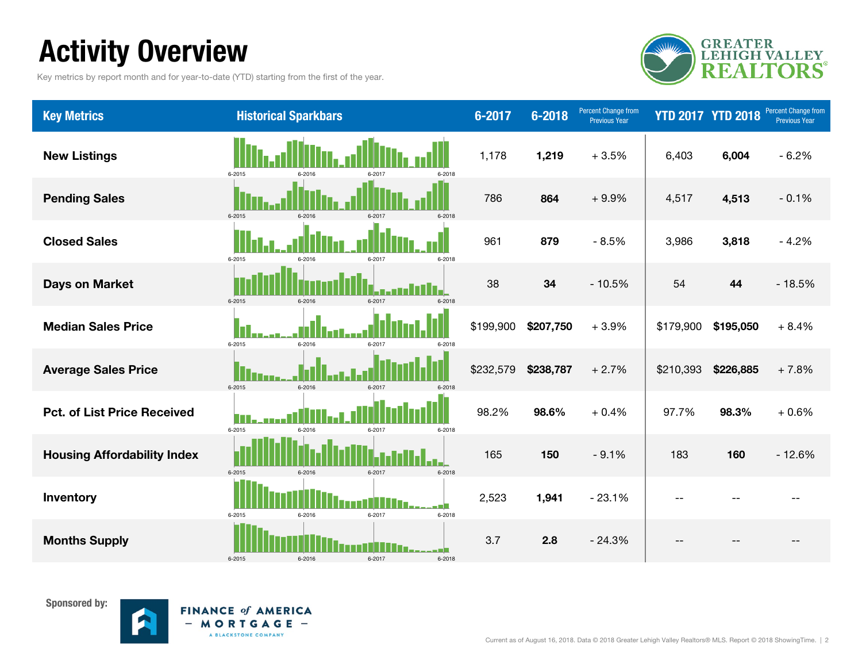### Activity Overview

Key metrics by report month and for year-to-date (YTD) starting from the first of the year.



| <b>Key Metrics</b>                 | <b>Historical Sparkbars</b>                | 6-2017    | $6 - 2018$ | <b>Percent Change from</b><br><b>Previous Year</b> |                | <b>YTD 2017 YTD 2018</b> | <b>Percent Change from</b><br><b>Previous Year</b> |
|------------------------------------|--------------------------------------------|-----------|------------|----------------------------------------------------|----------------|--------------------------|----------------------------------------------------|
| <b>New Listings</b>                | 6-2015<br>6-2018                           | 1,178     | 1,219      | $+3.5%$                                            | 6,403          | 6,004                    | $-6.2%$                                            |
| <b>Pending Sales</b>               | 6-2015<br>6-2016<br>6-2017<br>$6 - 2011$   | 786       | 864        | $+9.9%$                                            | 4,517          | 4,513                    | $-0.1%$                                            |
| <b>Closed Sales</b>                | 6-2015<br>6-2017<br>6-2018                 | 961       | 879        | $-8.5%$                                            | 3,986          | 3,818                    | $-4.2%$                                            |
| <b>Days on Market</b>              | $6 - 2015$<br>6-2016<br>6-2017<br>6-2018   | 38        | 34         | $-10.5%$                                           | 54             | 44                       | $-18.5%$                                           |
| <b>Median Sales Price</b>          | 6-2015<br>6-2016<br>6-2017<br>6-2018       | \$199,900 | \$207,750  | $+3.9%$                                            | \$179,900      | \$195,050                | $+8.4%$                                            |
| <b>Average Sales Price</b>         | 6-2015<br>6-2016<br>6-2017<br>6-2018       | \$232,579 | \$238,787  | $+2.7%$                                            | \$210,393      | \$226,885                | $+7.8%$                                            |
| <b>Pct. of List Price Received</b> | HП<br>6-2015<br>6-2016<br>6-2017<br>6-2018 | 98.2%     | 98.6%      | $+0.4%$                                            | 97.7%          | 98.3%                    | $+0.6%$                                            |
| <b>Housing Affordability Index</b> | 6-2015<br>6-2016<br>6-2017<br>6-2018       | 165       | 150        | $-9.1%$                                            | 183            | 160                      | $-12.6%$                                           |
| Inventory                          | $6 - 2015$<br>6-2016<br>6-2017<br>6-2018   | 2,523     | 1,941      | $-23.1%$                                           | $\overline{a}$ |                          |                                                    |
| <b>Months Supply</b>               | 6-2015<br>6-2016<br>6-2017<br>6-2018       | 3.7       | 2.8        | $-24.3%$                                           |                |                          |                                                    |



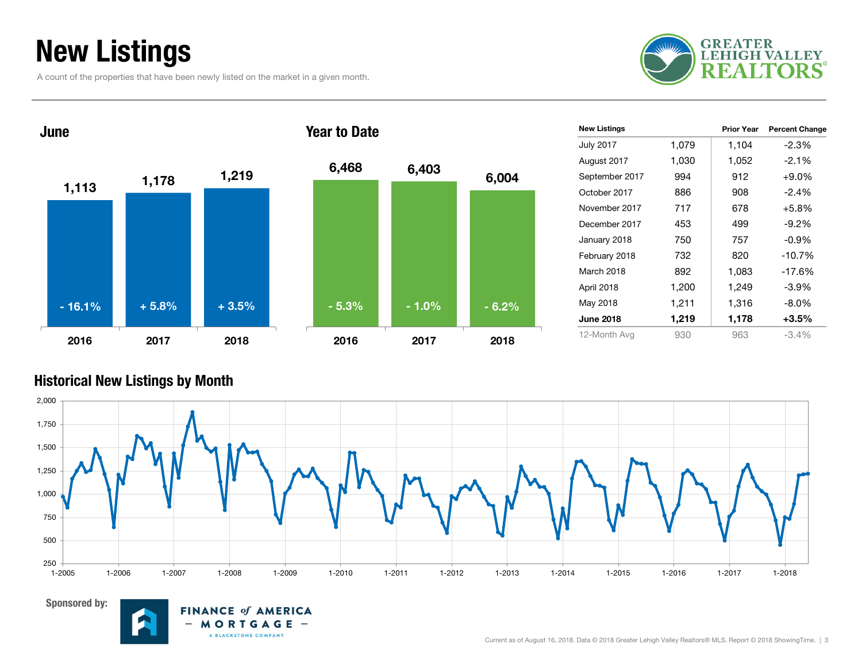### New Listings

A count of the properties that have been newly listed on the market in a given month.





| <b>New Listings</b> |       | Prior Year | <b>Percent Change</b> |
|---------------------|-------|------------|-----------------------|
| <b>July 2017</b>    | 1,079 | 1,104      | $-2.3%$               |
| August 2017         | 1,030 | 1,052      | $-2.1%$               |
| September 2017      | 994   | 912        | $+9.0%$               |
| October 2017        | 886   | 908        | $-2.4%$               |
| November 2017       | 717   | 678        | $+5.8%$               |
| December 2017       | 453   | 499        | $-9.2%$               |
| January 2018        | 750   | 757        | $-0.9\%$              |
| February 2018       | 732   | 820        | $-10.7%$              |
| March 2018          | 892   | 1,083      | $-17.6%$              |
| April 2018          | 1,200 | 1,249      | $-3.9\%$              |
| May 2018            | 1,211 | 1,316      | $-8.0\%$              |
| <b>June 2018</b>    | 1,219 | 1,178      | $+3.5%$               |
| 12-Month Avg        | 930   | 963        | $-3.4%$               |

#### Historical New Listings by Month



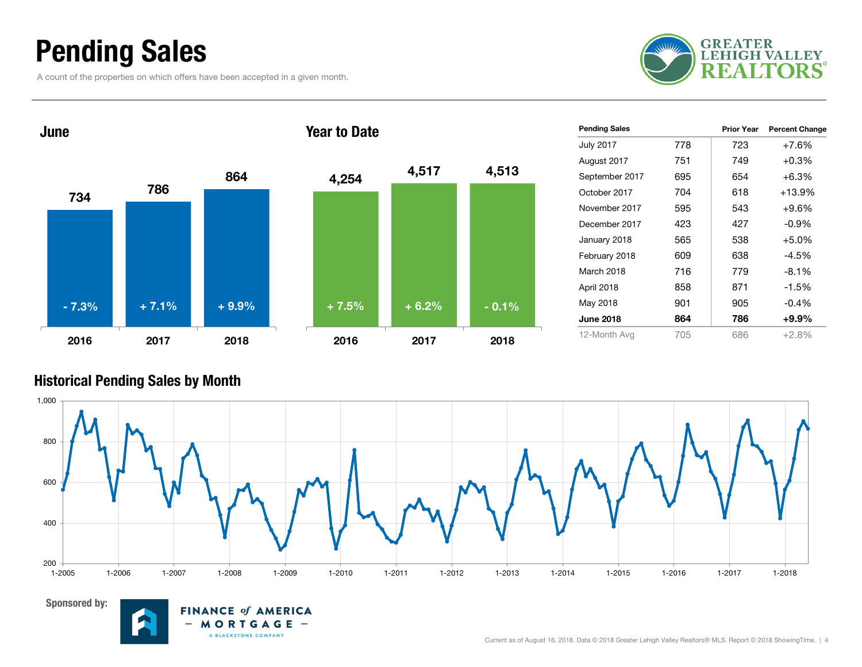### Pending Sales

A count of the properties on which offers have been accepted in a given month.





| <b>Pending Sales</b> |     | <b>Prior Year</b> | <b>Percent Change</b> |
|----------------------|-----|-------------------|-----------------------|
| <b>July 2017</b>     | 778 | 723               | $+7.6%$               |
| August 2017          | 751 | 749               | $+0.3%$               |
| September 2017       | 695 | 654               | $+6.3%$               |
| October 2017         | 704 | 618               | $+13.9%$              |
| November 2017        | 595 | 543               | $+9.6%$               |
| December 2017        | 423 | 427               | $-0.9\%$              |
| January 2018         | 565 | 538               | $+5.0%$               |
| February 2018        | 609 | 638               | $-4.5%$               |
| March 2018           | 716 | 779               | $-8.1%$               |
| April 2018           | 858 | 871               | $-1.5%$               |
| May 2018             | 901 | 905               | $-0.4%$               |
| <b>June 2018</b>     | 864 | 786               | $+9.9\%$              |
| 12-Month Avg         | 705 | 686               | $+2.8%$               |

#### Historical Pending Sales by Month





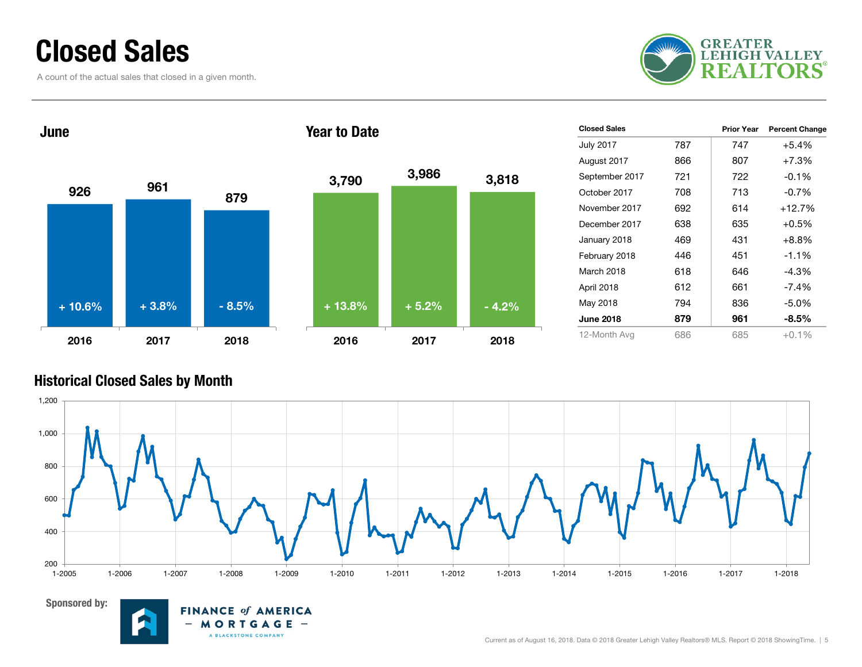### Closed Sales

A count of the actual sales that closed in a given month.





| <b>Closed Sales</b> |     | <b>Prior Year</b> | <b>Percent Change</b> |
|---------------------|-----|-------------------|-----------------------|
| <b>July 2017</b>    | 787 | 747               | $+5.4%$               |
| August 2017         | 866 | 807               | $+7.3%$               |
| September 2017      | 721 | 722               | $-0.1%$               |
| October 2017        | 708 | 713               | $-0.7%$               |
| November 2017       | 692 | 614               | $+12.7%$              |
| December 2017       | 638 | 635               | $+0.5%$               |
| January 2018        | 469 | 431               | +8.8%                 |
| February 2018       | 446 | 451               | $-1.1%$               |
| March 2018          | 618 | 646               | -4.3%                 |
| April 2018          | 612 | 661               | $-7.4\%$              |
| May 2018            | 794 | 836               | -5.0%                 |
| <b>June 2018</b>    | 879 | 961               | $-8.5\%$              |
| 12-Month Avg        | 686 | 685               | $+0.1\%$              |

#### Historical Closed Sales by Month





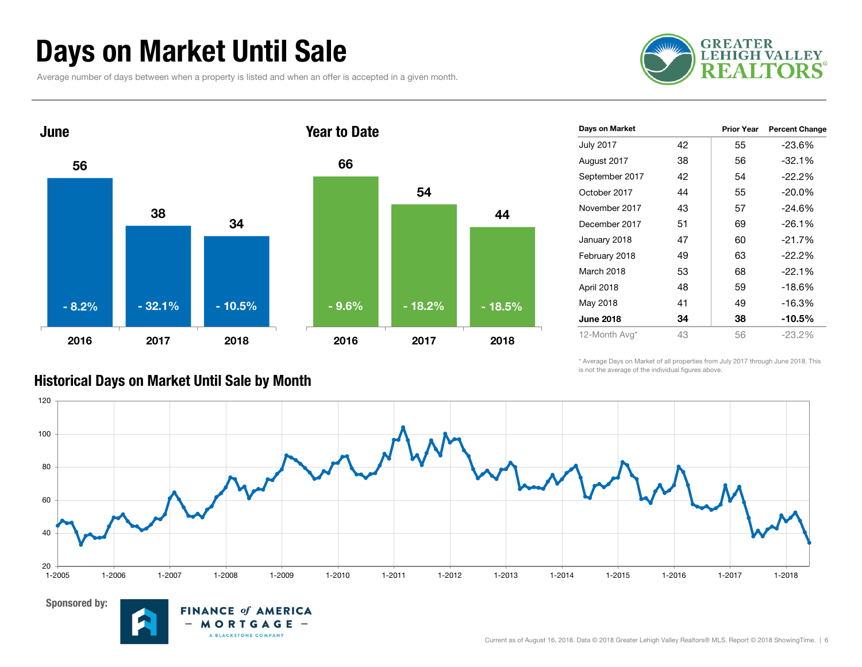### Days on Market Until Sale

Average number of days between when a property is listed and when an offer is accepted in a given month.





**FINANCE of AMERICA** MORTGAGE -A BLACKSTONE COMPANY

| Days on Market   |    | <b>Prior Year</b> | <b>Percent Change</b> |
|------------------|----|-------------------|-----------------------|
| <b>July 2017</b> | 42 | 55                | $-23.6%$              |
| August 2017      | 38 | 56                | $-32.1%$              |
| September 2017   | 42 | 54                | $-22.2\%$             |
| October 2017     | 44 | 55                | $-20.0%$              |
| November 2017    | 43 | 57                | $-24.6%$              |
| December 2017    | 51 | 69                | $-26.1%$              |
| January 2018     | 47 | 60                | $-21.7%$              |
| February 2018    | 49 | 63                | $-22.2\%$             |
| March 2018       | 53 | 68                | $-22.1\%$             |
| April 2018       | 48 | 59                | $-18.6%$              |
| May 2018         | 41 | 49                | $-16.3%$              |
| <b>June 2018</b> | 34 | 38                | $-10.5%$              |
| 12-Month Avg*    | 43 | 56                | $-23.2%$              |

\* Average Days on Market of all properties from July 2017 through June 2018. This is not the average of the individual figures above.



#### Historical Days on Market Until Sale by Month

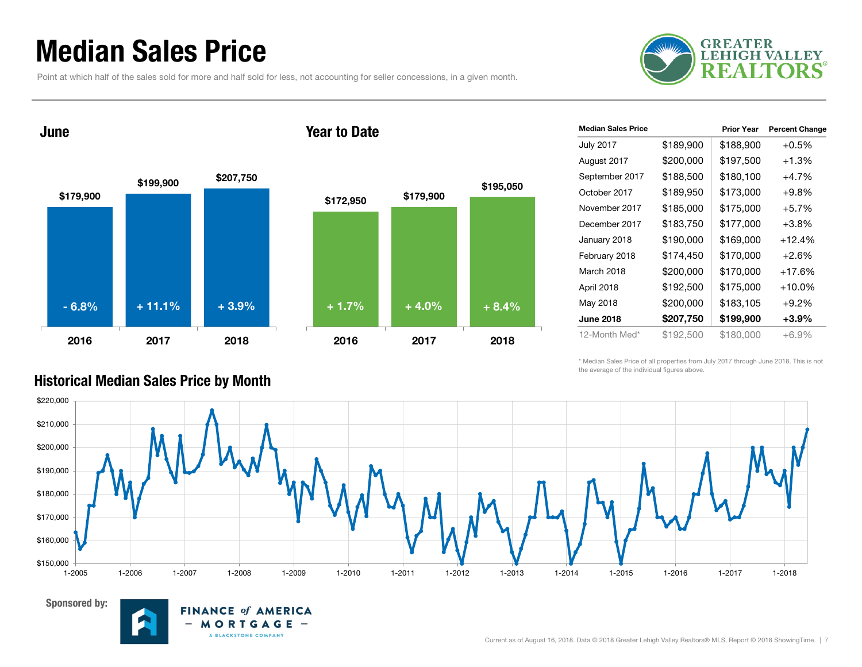### Median Sales Price

Point at which half of the sales sold for more and half sold for less, not accounting for seller concessions, in a given month.



June

Sponsored by:





**FINANCE of AMERICA** MORTGAGE -

A BLACKSTONE COMPANY

 $-$ 



| <b>Median Sales Price</b> |           | <b>Prior Year</b> | <b>Percent Change</b> |
|---------------------------|-----------|-------------------|-----------------------|
| <b>July 2017</b>          | \$189,900 | \$188,900         | $+0.5%$               |
| August 2017               | \$200,000 | \$197,500         | $+1.3%$               |
| September 2017            | \$188,500 | \$180,100         | $+4.7%$               |
| October 2017              | \$189,950 | \$173,000         | $+9.8%$               |
| November 2017             | \$185,000 | \$175,000         | $+5.7%$               |
| December 2017             | \$183,750 | \$177,000         | $+3.8%$               |
| January 2018              | \$190,000 | \$169,000         | +12.4%                |
| February 2018             | \$174,450 | \$170,000         | $+2.6%$               |
| March 2018                | \$200,000 | \$170,000         | +17.6%                |
| April 2018                | \$192,500 | \$175,000         | +10.0%                |
| May 2018                  | \$200,000 | \$183,105         | $+9.2\%$              |
| <b>June 2018</b>          | \$207,750 | \$199,900         | $+3.9\%$              |
| 12-Month Med*             | \$192,500 | \$180,000         | $+6.9\%$              |

\* Median Sales Price of all properties from July 2017 through June 2018. This is not the average of the individual figures above.



#### Historical Median Sales Price by Month

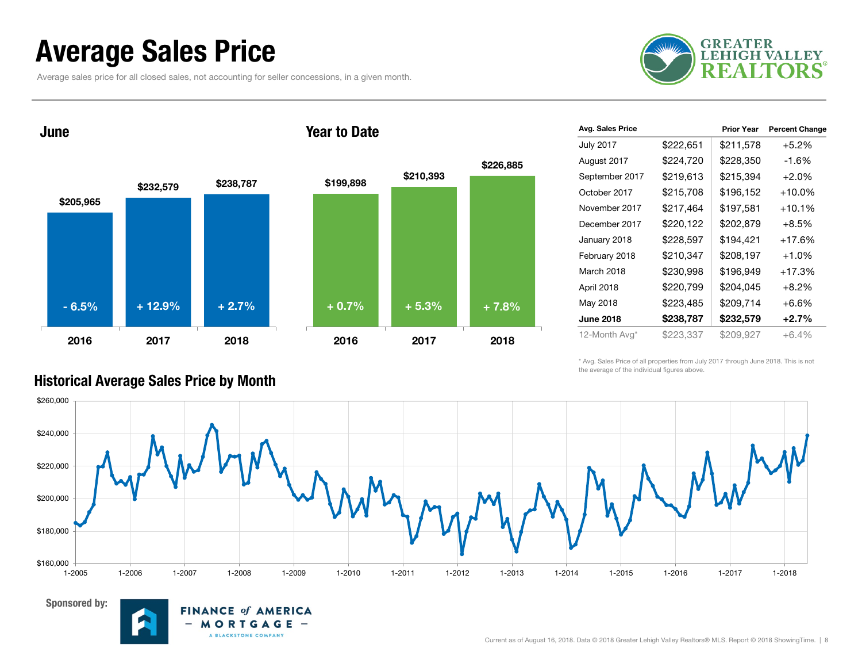### Average Sales Price

Average sales price for all closed sales, not accounting for seller concessions, in a given month.



\$205,965 \$232,579 \$238,787 2016 2017 2018 June \$199,898 \$210,393 2016 2017 2018 Year to Date - 6.5% + 12.9% + 2.7% + 0.7% + 5.3% + 7.8%

> **FINANCE of AMERICA** MORTGAGE -

> > A BLACKSTONE COMPANY

 $-$ 

| Avg. Sales Price |           | <b>Prior Year</b> | <b>Percent Change</b> |
|------------------|-----------|-------------------|-----------------------|
| <b>July 2017</b> | \$222,651 | \$211,578         | $+5.2\%$              |
| August 2017      | \$224,720 | \$228,350         | -1.6%                 |
| September 2017   | \$219,613 | \$215,394         | $+2.0%$               |
| October 2017     | \$215,708 | \$196,152         | $+10.0\%$             |
| November 2017    | \$217,464 | \$197,581         | $+10.1%$              |
| December 2017    | \$220,122 | \$202,879         | $+8.5%$               |
| January 2018     | \$228,597 | \$194,421         | $+17.6%$              |
| February 2018    | \$210,347 | \$208,197         | $+1.0\%$              |
| March 2018       | \$230,998 | \$196,949         | $+17.3%$              |
| April 2018       | \$220,799 | \$204,045         | $+8.2%$               |
| May 2018         | \$223,485 | \$209,714         | $+6.6\%$              |
| <b>June 2018</b> | \$238,787 | \$232,579         | $+2.7\%$              |
| 12-Month Avg*    | \$223,337 | \$209,927         | $+6.4%$               |

\* Avg. Sales Price of all properties from July 2017 through June 2018. This is not the average of the individual figures above.



\$226,885

#### Historical Average Sales Price by Month

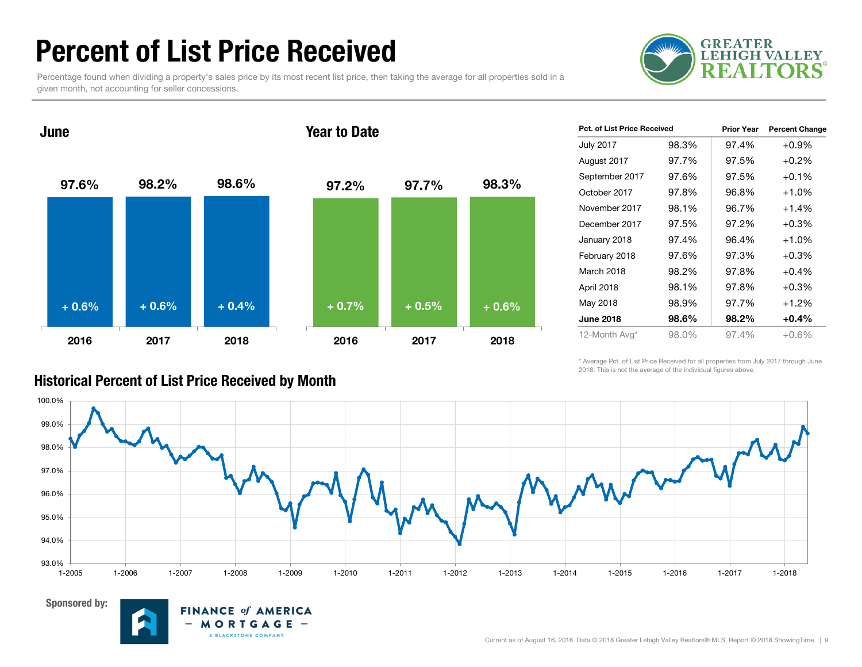### Percent of List Price Received

Percentage found when dividing a property's sales price by its most recent list price, then taking the average for all properties sold in a given month, not accounting for seller concessions.





| <b>Pct. of List Price Received</b> |       | <b>Prior Year</b> | <b>Percent Change</b> |
|------------------------------------|-------|-------------------|-----------------------|
| <b>July 2017</b>                   | 98.3% | 97.4%             | $+0.9%$               |
| August 2017                        | 97.7% | 97.5%             | $+0.2\%$              |
| September 2017                     | 97.6% | 97.5%             | $+0.1\%$              |
| October 2017                       | 97.8% | 96.8%             | $+1.0%$               |
| November 2017                      | 98.1% | 96.7%             | $+1.4%$               |
| December 2017                      | 97.5% | 97.2%             | $+0.3%$               |
| January 2018                       | 97.4% | 96.4%             | $+1.0%$               |
| February 2018                      | 97.6% | 97.3%             | $+0.3%$               |
| March 2018                         | 98.2% | 97.8%             | $+0.4%$               |
| April 2018                         | 98.1% | 97.8%             | $+0.3%$               |
| May 2018                           | 98.9% | 97.7%             | $+1.2%$               |
| <b>June 2018</b>                   | 98.6% | 98.2%             | $+0.4%$               |
| 12-Month Avg*                      | 98.0% | 97.4%             | +0.6%                 |

\* Average Pct. of List Price Received for all properties from July 2017 through June 2018. This is not the average of the individual figures above.





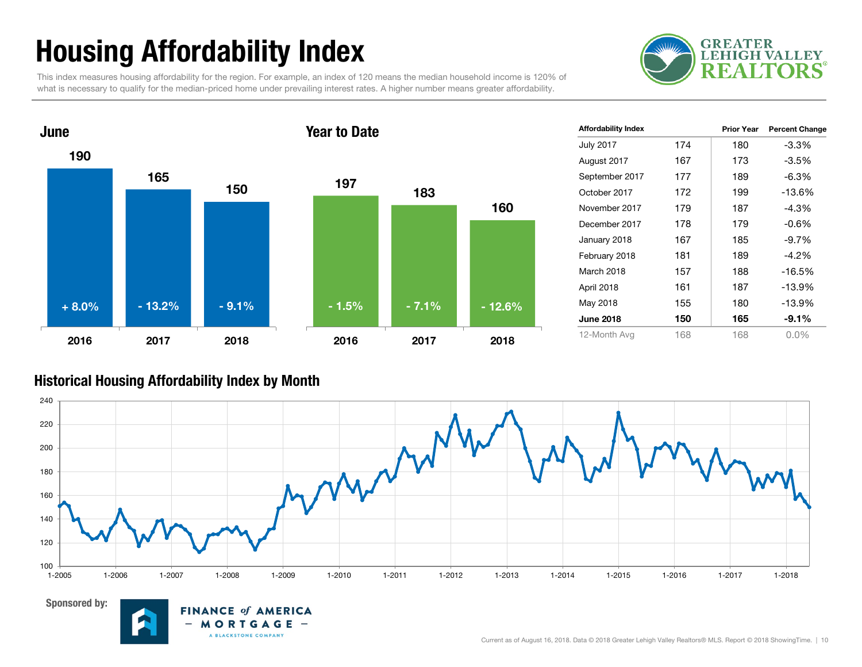## Housing Affordability Index

This index measures housing affordability for the region. For example, an index of 120 means the median household income is 120% of what is necessary to qualify for the median-priced home under prevailing interest rates. A higher number means greater affordability.





| <b>Affordability Index</b> |     | <b>Prior Year</b> | <b>Percent Change</b> |
|----------------------------|-----|-------------------|-----------------------|
| <b>July 2017</b>           | 174 | 180               | -3.3%                 |
| August 2017                | 167 | 173               | -3.5%                 |
| September 2017             | 177 | 189               | $-6.3%$               |
| October 2017               | 172 | 199               | $-13.6%$              |
| November 2017              | 179 | 187               | $-4.3%$               |
| December 2017              | 178 | 179               | $-0.6%$               |
| January 2018               | 167 | 185               | $-9.7%$               |
| February 2018              | 181 | 189               | $-4.2\%$              |
| March 2018                 | 157 | 188               | $-16.5%$              |
| April 2018                 | 161 | 187               | $-13.9%$              |
| May 2018                   | 155 | 180               | $-13.9%$              |
| <b>June 2018</b>           | 150 | 165               | $-9.1%$               |
| 12-Month Avg               | 168 | 168               | $0.0\%$               |

#### Historical Housing Affordability Index by Month



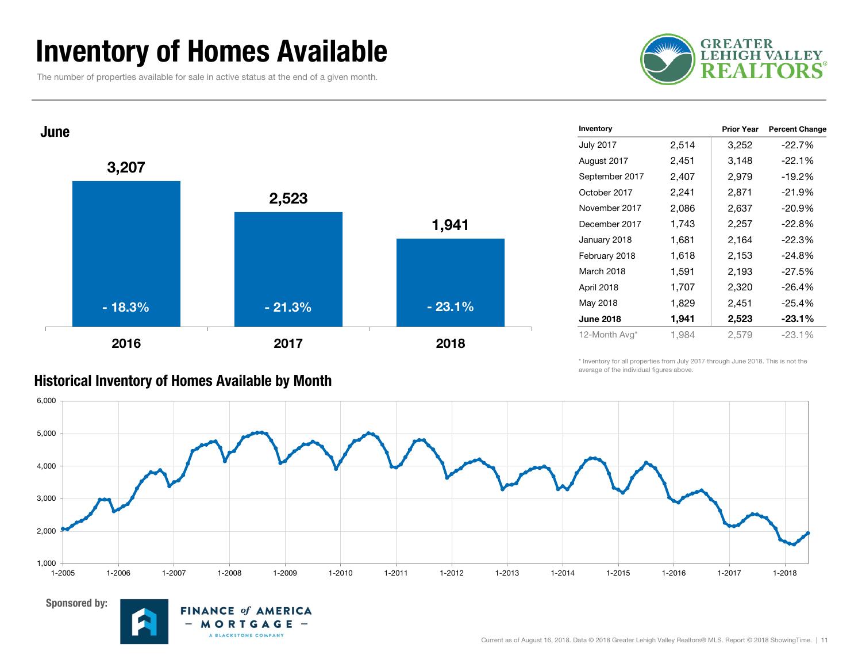### Inventory of Homes Available

The number of properties available for sale in active status at the end of a given month.





| Inventory        |       | <b>Prior Year</b> | <b>Percent Change</b> |
|------------------|-------|-------------------|-----------------------|
| <b>July 2017</b> | 2,514 | 3,252             | $-22.7%$              |
| August 2017      | 2,451 | 3,148             | $-22.1%$              |
| September 2017   | 2,407 | 2,979             | $-19.2%$              |
| October 2017     | 2,241 | 2,871             | $-21.9%$              |
| November 2017    | 2,086 | 2,637             | $-20.9%$              |
| December 2017    | 1,743 | 2,257             | $-22.8%$              |
| January 2018     | 1,681 | 2,164             | $-22.3%$              |
| February 2018    | 1,618 | 2,153             | $-24.8%$              |
| March 2018       | 1,591 | 2,193             | $-27.5%$              |
| April 2018       | 1,707 | 2,320             | $-26.4%$              |
| May 2018         | 1,829 | 2,451             | $-25.4%$              |
| <b>June 2018</b> | 1,941 | 2,523             | $-23.1%$              |
| 12-Month Avg*    | 1,984 | 2,579             | $-23.1%$              |

\* Inventory for all properties from July 2017 through June 2018. This is not the average of the individual figures above.





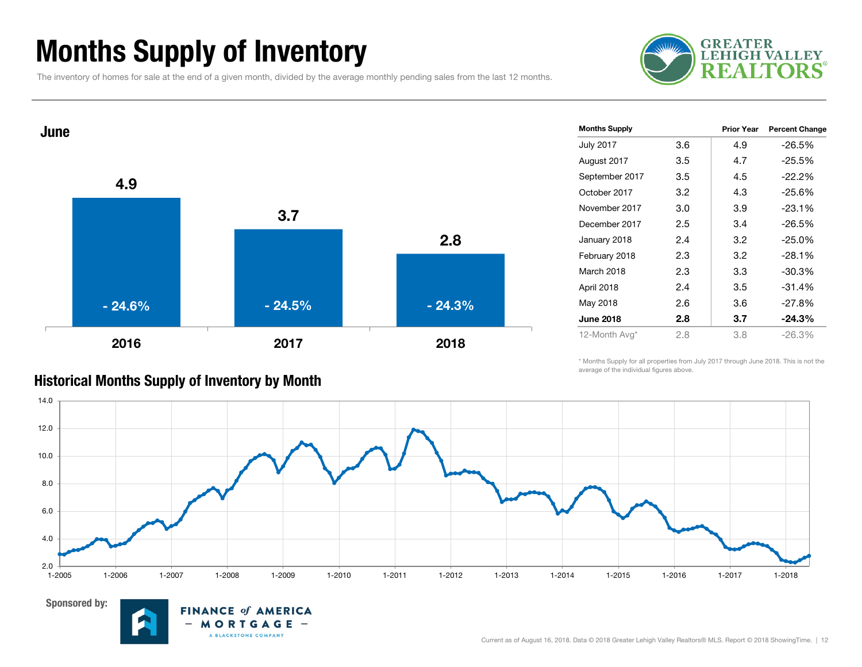### Months Supply of Inventory

The inventory of homes for sale at the end of a given month, divided by the average monthly pending sales from the last 12 months.





| <b>Months Supply</b> |     | Prior Year | <b>Percent Change</b> |
|----------------------|-----|------------|-----------------------|
| <b>July 2017</b>     | 3.6 | 4.9        | $-26.5%$              |
| August 2017          | 3.5 | 4.7        | $-25.5%$              |
| September 2017       | 3.5 | 4.5        | $-22.2%$              |
| October 2017         | 3.2 | 4.3        | $-25.6%$              |
| November 2017        | 3.0 | 3.9        | $-23.1%$              |
| December 2017        | 2.5 | 3.4        | $-26.5%$              |
| January 2018         | 2.4 | 3.2        | $-25.0%$              |
| February 2018        | 2.3 | 3.2        | $-28.1%$              |
| March 2018           | 2.3 | 3.3        | $-30.3%$              |
| April 2018           | 2.4 | 3.5        | $-31.4%$              |
| May 2018             | 2.6 | 3.6        | $-27.8%$              |
| <b>June 2018</b>     | 2.8 | 3.7        | $-24.3\%$             |
| 12-Month Avg*        | 2.8 | 3.8        | $-26.3\%$             |

\* Months Supply for all properties from July 2017 through June 2018. This is not the average of the individual figures above.



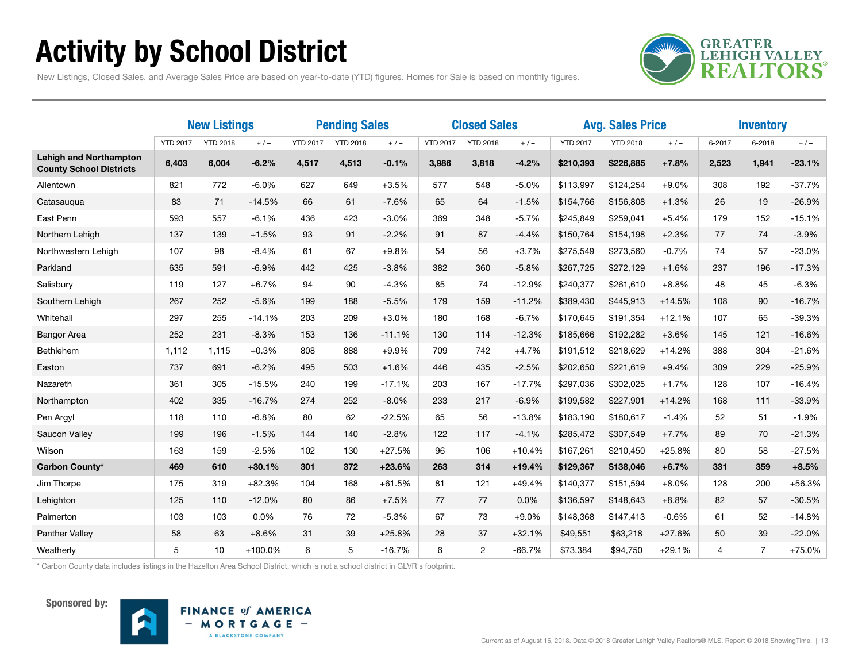### Activity by School District



New Listings, Closed Sales, and Average Sales Price are based on year-to-date (YTD) figures. Homes for Sale is based on monthly figures.

|                                                                 | <b>New Listings</b> |                 |           | <b>Pending Sales</b> |                 |          | <b>Closed Sales</b> |                 |          | <b>Avg. Sales Price</b> |                 |          | <b>Inventory</b> |                |          |
|-----------------------------------------------------------------|---------------------|-----------------|-----------|----------------------|-----------------|----------|---------------------|-----------------|----------|-------------------------|-----------------|----------|------------------|----------------|----------|
|                                                                 | <b>YTD 2017</b>     | <b>YTD 2018</b> | $+/-$     | <b>YTD 2017</b>      | <b>YTD 2018</b> | $+/-$    | <b>YTD 2017</b>     | <b>YTD 2018</b> | $+/-$    | <b>YTD 2017</b>         | <b>YTD 2018</b> | $+/-$    | 6-2017           | 6-2018         | $+/-$    |
| <b>Lehigh and Northampton</b><br><b>County School Districts</b> | 6,403               | 6,004           | $-6.2%$   | 4,517                | 4,513           | $-0.1%$  | 3,986               | 3,818           | $-4.2%$  | \$210,393               | \$226,885       | $+7.8%$  | 2,523            | 1,941          | $-23.1%$ |
| Allentown                                                       | 821                 | 772             | $-6.0%$   | 627                  | 649             | $+3.5%$  | 577                 | 548             | $-5.0%$  | \$113,997               | \$124,254       | $+9.0%$  | 308              | 192            | $-37.7%$ |
| Catasaugua                                                      | 83                  | 71              | $-14.5%$  | 66                   | 61              | $-7.6%$  | 65                  | 64              | $-1.5%$  | \$154,766               | \$156,808       | $+1.3%$  | 26               | 19             | $-26.9%$ |
| East Penn                                                       | 593                 | 557             | $-6.1%$   | 436                  | 423             | $-3.0%$  | 369                 | 348             | $-5.7%$  | \$245,849               | \$259,041       | $+5.4%$  | 179              | 152            | $-15.1%$ |
| Northern Lehigh                                                 | 137                 | 139             | $+1.5%$   | 93                   | 91              | $-2.2%$  | 91                  | 87              | $-4.4%$  | \$150,764               | \$154,198       | $+2.3%$  | 77               | 74             | $-3.9%$  |
| Northwestern Lehigh                                             | 107                 | 98              | $-8.4%$   | 61                   | 67              | $+9.8%$  | 54                  | 56              | $+3.7%$  | \$275,549               | \$273,560       | $-0.7%$  | 74               | 57             | $-23.0%$ |
| Parkland                                                        | 635                 | 591             | $-6.9%$   | 442                  | 425             | $-3.8%$  | 382                 | 360             | $-5.8%$  | \$267,725               | \$272,129       | $+1.6%$  | 237              | 196            | $-17.3%$ |
| Salisbury                                                       | 119                 | 127             | $+6.7%$   | 94                   | 90              | $-4.3%$  | 85                  | 74              | $-12.9%$ | \$240,377               | \$261,610       | $+8.8%$  | 48               | 45             | $-6.3%$  |
| Southern Lehigh                                                 | 267                 | 252             | $-5.6%$   | 199                  | 188             | $-5.5%$  | 179                 | 159             | $-11.2%$ | \$389,430               | \$445,913       | $+14.5%$ | 108              | 90             | $-16.7%$ |
| Whitehall                                                       | 297                 | 255             | $-14.1%$  | 203                  | 209             | $+3.0%$  | 180                 | 168             | $-6.7%$  | \$170,645               | \$191,354       | $+12.1%$ | 107              | 65             | $-39.3%$ |
| <b>Bangor Area</b>                                              | 252                 | 231             | $-8.3%$   | 153                  | 136             | $-11.1%$ | 130                 | 114             | $-12.3%$ | \$185,666               | \$192,282       | $+3.6%$  | 145              | 121            | $-16.6%$ |
| Bethlehem                                                       | 1,112               | 1,115           | $+0.3%$   | 808                  | 888             | $+9.9%$  | 709                 | 742             | $+4.7%$  | \$191,512               | \$218,629       | $+14.2%$ | 388              | 304            | $-21.6%$ |
| Easton                                                          | 737                 | 691             | $-6.2%$   | 495                  | 503             | $+1.6%$  | 446                 | 435             | $-2.5%$  | \$202,650               | \$221,619       | $+9.4%$  | 309              | 229            | $-25.9%$ |
| Nazareth                                                        | 361                 | 305             | $-15.5%$  | 240                  | 199             | $-17.1%$ | 203                 | 167             | $-17.7%$ | \$297,036               | \$302,025       | $+1.7%$  | 128              | 107            | $-16.4%$ |
| Northampton                                                     | 402                 | 335             | $-16.7%$  | 274                  | 252             | $-8.0%$  | 233                 | 217             | $-6.9%$  | \$199,582               | \$227,901       | $+14.2%$ | 168              | 111            | $-33.9%$ |
| Pen Argyl                                                       | 118                 | 110             | $-6.8%$   | 80                   | 62              | $-22.5%$ | 65                  | 56              | $-13.8%$ | \$183,190               | \$180,617       | $-1.4%$  | 52               | 51             | $-1.9%$  |
| Saucon Valley                                                   | 199                 | 196             | $-1.5%$   | 144                  | 140             | $-2.8%$  | 122                 | 117             | $-4.1%$  | \$285,472               | \$307,549       | $+7.7%$  | 89               | 70             | $-21.3%$ |
| Wilson                                                          | 163                 | 159             | $-2.5%$   | 102                  | 130             | $+27.5%$ | 96                  | 106             | $+10.4%$ | \$167,261               | \$210,450       | $+25.8%$ | 80               | 58             | $-27.5%$ |
| Carbon County*                                                  | 469                 | 610             | $+30.1%$  | 301                  | 372             | $+23.6%$ | 263                 | 314             | $+19.4%$ | \$129,367               | \$138,046       | $+6.7%$  | 331              | 359            | $+8.5%$  |
| Jim Thorpe                                                      | 175                 | 319             | $+82.3%$  | 104                  | 168             | $+61.5%$ | 81                  | 121             | $+49.4%$ | \$140,377               | \$151,594       | $+8.0%$  | 128              | 200            | $+56.3%$ |
| Lehighton                                                       | 125                 | 110             | $-12.0%$  | 80                   | 86              | $+7.5%$  | 77                  | 77              | 0.0%     | \$136,597               | \$148,643       | $+8.8%$  | 82               | 57             | $-30.5%$ |
| Palmerton                                                       | 103                 | 103             | 0.0%      | 76                   | 72              | $-5.3%$  | 67                  | 73              | $+9.0%$  | \$148,368               | \$147,413       | $-0.6%$  | 61               | 52             | $-14.8%$ |
| Panther Valley                                                  | 58                  | 63              | $+8.6%$   | 31                   | 39              | $+25.8%$ | 28                  | 37              | $+32.1%$ | \$49,551                | \$63,218        | $+27.6%$ | 50               | 39             | $-22.0%$ |
| Weatherly                                                       | 5                   | 10              | $+100.0%$ | 6                    | 5               | $-16.7%$ | 6                   | 2               | $-66.7%$ | \$73,384                | \$94.750        | $+29.1%$ | 4                | $\overline{7}$ | $+75.0%$ |

\* Carbon County data includes listings in the Hazelton Area School District, which is not a school district in GLVR's footprint.



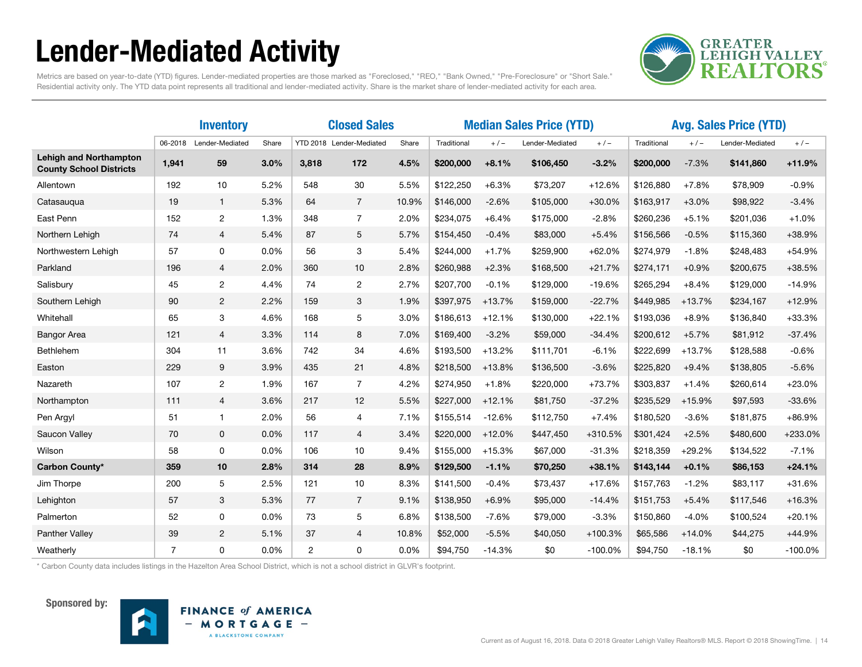### Lender-Mediated Activity



Metrics are based on year-to-date (YTD) figures. Lender-mediated properties are those marked as "Foreclosed," "REO," "Bank Owned," "Pre-Foreclosure" or "Short Sale." Residential activity only. The YTD data point represents all traditional and lender-mediated activity. Share is the market share of lender-mediated activity for each area.

|                                                                 |                | <b>Inventory</b> |       | <b>Closed Sales</b> |                          |       | <b>Median Sales Price (YTD)</b> |          |                 |           | <b>Avg. Sales Price (YTD)</b> |          |                 |           |
|-----------------------------------------------------------------|----------------|------------------|-------|---------------------|--------------------------|-------|---------------------------------|----------|-----------------|-----------|-------------------------------|----------|-----------------|-----------|
|                                                                 | 06-2018        | Lender-Mediated  | Share |                     | YTD 2018 Lender-Mediated | Share | Traditional                     | $+/-$    | Lender-Mediated | $+/-$     | Traditional                   | $+/-$    | Lender-Mediated | $+/-$     |
| <b>Lehigh and Northampton</b><br><b>County School Districts</b> | 1,941          | 59               | 3.0%  | 3,818               | 172                      | 4.5%  | \$200,000                       | $+8.1%$  | \$106,450       | $-3.2%$   | \$200,000                     | $-7.3%$  | \$141,860       | $+11.9%$  |
| Allentown                                                       | 192            | 10               | 5.2%  | 548                 | 30                       | 5.5%  | \$122,250                       | $+6.3%$  | \$73,207        | $+12.6%$  | \$126,880                     | $+7.8%$  | \$78,909        | $-0.9%$   |
| Catasauqua                                                      | 19             | $\mathbf{1}$     | 5.3%  | 64                  | $7^{\circ}$              | 10.9% | \$146,000                       | $-2.6%$  | \$105,000       | $+30.0%$  | \$163,917                     | $+3.0%$  | \$98,922        | $-3.4%$   |
| East Penn                                                       | 152            | $\overline{c}$   | 1.3%  | 348                 | $\overline{7}$           | 2.0%  | \$234,075                       | $+6.4%$  | \$175,000       | $-2.8%$   | \$260,236                     | $+5.1%$  | \$201,036       | $+1.0%$   |
| Northern Lehigh                                                 | 74             | $\overline{4}$   | 5.4%  | 87                  | 5                        | 5.7%  | \$154,450                       | $-0.4%$  | \$83,000        | $+5.4%$   | \$156,566                     | $-0.5%$  | \$115,360       | +38.9%    |
| Northwestern Lehigh                                             | 57             | 0                | 0.0%  | 56                  | 3                        | 5.4%  | \$244,000                       | $+1.7%$  | \$259,900       | $+62.0%$  | \$274,979                     | $-1.8%$  | \$248,483       | $+54.9%$  |
| Parkland                                                        | 196            | $\overline{4}$   | 2.0%  | 360                 | 10                       | 2.8%  | \$260,988                       | $+2.3%$  | \$168,500       | $+21.7%$  | \$274,171                     | $+0.9%$  | \$200,675       | $+38.5%$  |
| Salisbury                                                       | 45             | $\overline{2}$   | 4.4%  | 74                  | $\overline{c}$           | 2.7%  | \$207,700                       | $-0.1%$  | \$129,000       | $-19.6%$  | \$265,294                     | $+8.4%$  | \$129,000       | $-14.9%$  |
| Southern Lehigh                                                 | 90             | $\overline{2}$   | 2.2%  | 159                 | 3                        | 1.9%  | \$397,975                       | $+13.7%$ | \$159,000       | $-22.7%$  | \$449,985                     | $+13.7%$ | \$234,167       | $+12.9%$  |
| Whitehall                                                       | 65             | 3                | 4.6%  | 168                 | 5                        | 3.0%  | \$186,613                       | $+12.1%$ | \$130,000       | $+22.1%$  | \$193,036                     | $+8.9%$  | \$136,840       | $+33.3%$  |
| <b>Bangor Area</b>                                              | 121            | $\overline{4}$   | 3.3%  | 114                 | 8                        | 7.0%  | \$169,400                       | $-3.2%$  | \$59,000        | $-34.4%$  | \$200,612                     | $+5.7%$  | \$81,912        | $-37.4%$  |
| Bethlehem                                                       | 304            | 11               | 3.6%  | 742                 | 34                       | 4.6%  | \$193,500                       | $+13.2%$ | \$111,701       | $-6.1%$   | \$222,699                     | $+13.7%$ | \$128,588       | $-0.6%$   |
| Easton                                                          | 229            | 9                | 3.9%  | 435                 | 21                       | 4.8%  | \$218,500                       | $+13.8%$ | \$136,500       | $-3.6%$   | \$225,820                     | $+9.4%$  | \$138,805       | $-5.6%$   |
| Nazareth                                                        | 107            | $\mathbf{2}$     | 1.9%  | 167                 | $\overline{7}$           | 4.2%  | \$274,950                       | $+1.8%$  | \$220,000       | $+73.7%$  | \$303,837                     | $+1.4%$  | \$260,614       | $+23.0%$  |
| Northampton                                                     | 111            | $\overline{4}$   | 3.6%  | 217                 | 12                       | 5.5%  | \$227,000                       | $+12.1%$ | \$81,750        | $-37.2%$  | \$235,529                     | $+15.9%$ | \$97,593        | $-33.6%$  |
| Pen Argyl                                                       | 51             | -1               | 2.0%  | 56                  | $\overline{4}$           | 7.1%  | \$155,514                       | $-12.6%$ | \$112,750       | $+7.4%$   | \$180,520                     | $-3.6%$  | \$181,875       | $+86.9%$  |
| Saucon Valley                                                   | 70             | $\mathbf 0$      | 0.0%  | 117                 | $\overline{4}$           | 3.4%  | \$220,000                       | $+12.0%$ | \$447,450       | +310.5%   | \$301,424                     | $+2.5%$  | \$480,600       | +233.0%   |
| Wilson                                                          | 58             | 0                | 0.0%  | 106                 | 10                       | 9.4%  | \$155,000                       | $+15.3%$ | \$67,000        | $-31.3%$  | \$218,359                     | $+29.2%$ | \$134,522       | $-7.1%$   |
| Carbon County*                                                  | 359            | 10               | 2.8%  | 314                 | 28                       | 8.9%  | \$129,500                       | $-1.1%$  | \$70,250        | $+38.1%$  | \$143,144                     | $+0.1%$  | \$86,153        | $+24.1%$  |
| Jim Thorpe                                                      | 200            | 5                | 2.5%  | 121                 | 10                       | 8.3%  | \$141,500                       | $-0.4%$  | \$73,437        | $+17.6%$  | \$157,763                     | $-1.2%$  | \$83,117        | $+31.6%$  |
| Lehighton                                                       | 57             | 3                | 5.3%  | 77                  | $\overline{7}$           | 9.1%  | \$138,950                       | $+6.9%$  | \$95,000        | $-14.4%$  | \$151,753                     | $+5.4%$  | \$117,546       | $+16.3%$  |
| Palmerton                                                       | 52             | 0                | 0.0%  | 73                  | 5                        | 6.8%  | \$138,500                       | $-7.6%$  | \$79,000        | $-3.3%$   | \$150,860                     | $-4.0%$  | \$100,524       | $+20.1%$  |
| <b>Panther Valley</b>                                           | 39             | $\overline{2}$   | 5.1%  | 37                  | $\overline{4}$           | 10.8% | \$52,000                        | $-5.5%$  | \$40,050        | $+100.3%$ | \$65,586                      | $+14.0%$ | \$44,275        | $+44.9%$  |
| Weatherly                                                       | $\overline{7}$ | $\Omega$         | 0.0%  | $\overline{c}$      | 0                        | 0.0%  | \$94,750                        | $-14.3%$ | \$0             | $-100.0%$ | \$94,750                      | $-18.1%$ | \$0             | $-100.0%$ |

\* Carbon County data includes listings in the Hazelton Area School District, which is not a school district in GLVR's footprint.